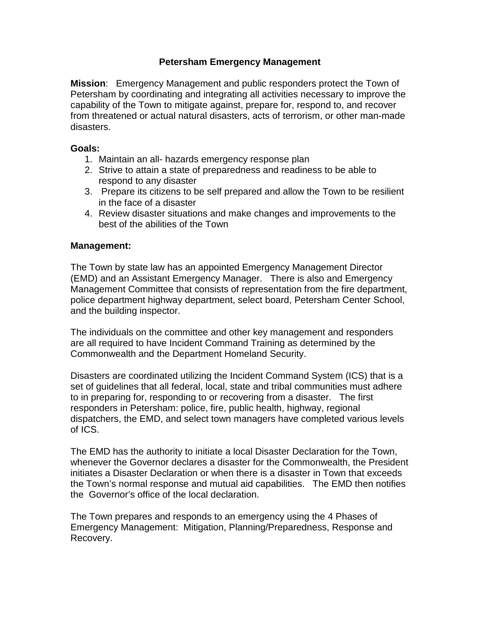## **Petersham Emergency Management**

**Mission**: Emergency Management and public responders protect the Town of Petersham by coordinating and integrating all activities necessary to improve the capability of the Town to mitigate against, prepare for, respond to, and recover from threatened or actual natural disasters, acts of terrorism, or other man-made disasters.

## **Goals:**

- 1. Maintain an all- hazards emergency response plan
- 2. Strive to attain a state of preparedness and readiness to be able to respond to any disaster
- 3. Prepare its citizens to be self prepared and allow the Town to be resilient in the face of a disaster
- 4. Review disaster situations and make changes and improvements to the best of the abilities of the Town

## **Management:**

The Town by state law has an appointed Emergency Management Director (EMD) and an Assistant Emergency Manager. There is also and Emergency Management Committee that consists of representation from the fire department, police department highway department, select board, Petersham Center School, and the building inspector.

The individuals on the committee and other key management and responders are all required to have Incident Command Training as determined by the Commonwealth and the Department Homeland Security.

Disasters are coordinated utilizing the Incident Command System (ICS) that is a set of guidelines that all federal, local, state and tribal communities must adhere to in preparing for, responding to or recovering from a disaster. The first responders in Petersham: police, fire, public health, highway, regional dispatchers, the EMD, and select town managers have completed various levels of ICS.

The EMD has the authority to initiate a local Disaster Declaration for the Town, whenever the Governor declares a disaster for the Commonwealth, the President initiates a Disaster Declaration or when there is a disaster in Town that exceeds the Town's normal response and mutual aid capabilities. The EMD then notifies the Governor's office of the local declaration.

The Town prepares and responds to an emergency using the 4 Phases of Emergency Management: Mitigation, Planning/Preparedness, Response and Recovery.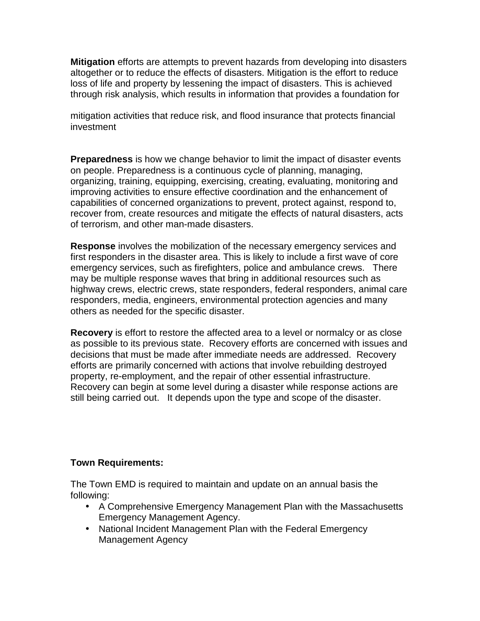**Mitigation** efforts are attempts to prevent hazards from developing into disasters altogether or to reduce the effects of disasters. Mitigation is the effort to reduce loss of life and property by lessening the impact of disasters. This is achieved through risk analysis, which results in information that provides a foundation for

mitigation activities that reduce risk, and flood insurance that protects financial investment

**Preparedness** is how we change behavior to limit the impact of disaster events on people. Preparedness is a continuous cycle of planning, managing, organizing, training, equipping, exercising, creating, evaluating, monitoring and improving activities to ensure effective coordination and the enhancement of capabilities of concerned organizations to prevent, protect against, respond to, recover from, create resources and mitigate the effects of natural disasters, acts of terrorism, and other man-made disasters.

**Response** involves the mobilization of the necessary emergency services and first responders in the disaster area. This is likely to include a first wave of core emergency services, such as firefighters, police and ambulance crews. There may be multiple response waves that bring in additional resources such as highway crews, electric crews, state responders, federal responders, animal care responders, media, engineers, environmental protection agencies and many others as needed for the specific disaster.

**Recovery** is effort to restore the affected area to a level or normalcy or as close as possible to its previous state. Recovery efforts are concerned with issues and decisions that must be made after immediate needs are addressed. Recovery efforts are primarily concerned with actions that involve rebuilding destroyed property, re-employment, and the repair of other essential infrastructure. Recovery can begin at some level during a disaster while response actions are still being carried out. It depends upon the type and scope of the disaster.

## **Town Requirements:**

The Town EMD is required to maintain and update on an annual basis the following:

- A Comprehensive Emergency Management Plan with the Massachusetts Emergency Management Agency.
- National Incident Management Plan with the Federal Emergency Management Agency